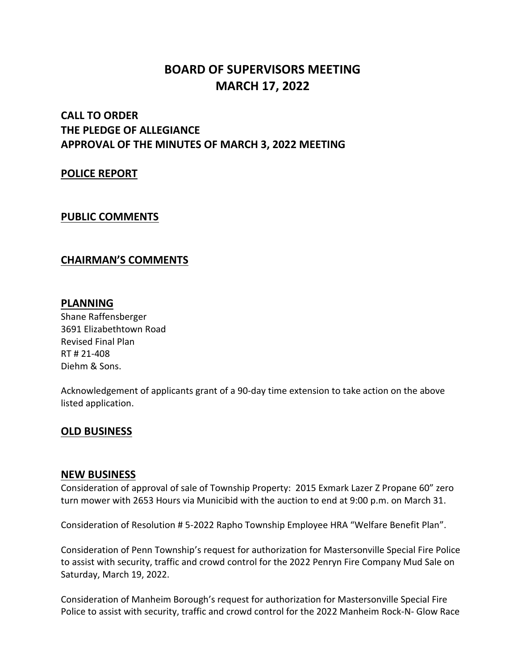# **BOARD OF SUPERVISORS MEETING MARCH 17, 2022**

# **CALL TO ORDER THE PLEDGE OF ALLEGIANCE APPROVAL OF THE MINUTES OF MARCH 3, 2022 MEETING**

#### **POLICE REPORT**

#### **PUBLIC COMMENTS**

#### **CHAIRMAN'S COMMENTS**

#### **PLANNING**

Shane Raffensberger 3691 Elizabethtown Road Revised Final Plan RT # 21-408 Diehm & Sons.

Acknowledgement of applicants grant of a 90-day time extension to take action on the above listed application.

#### **OLD BUSINESS**

#### **NEW BUSINESS**

Consideration of approval of sale of Township Property: 2015 Exmark Lazer Z Propane 60" zero turn mower with 2653 Hours via Municibid with the auction to end at 9:00 p.m. on March 31.

Consideration of Resolution # 5-2022 Rapho Township Employee HRA "Welfare Benefit Plan".

Consideration of Penn Township's request for authorization for Mastersonville Special Fire Police to assist with security, traffic and crowd control for the 2022 Penryn Fire Company Mud Sale on Saturday, March 19, 2022.

Consideration of Manheim Borough's request for authorization for Mastersonville Special Fire Police to assist with security, traffic and crowd control for the 2022 Manheim Rock-N- Glow Race